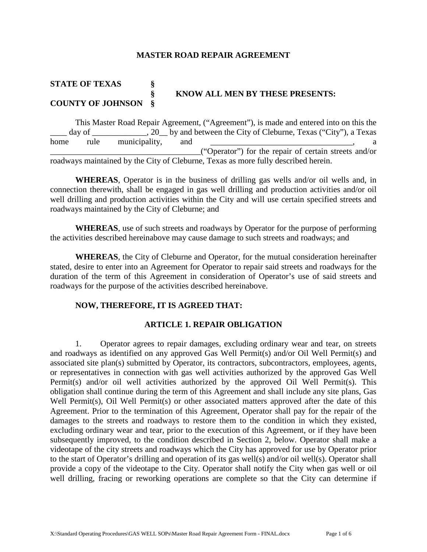### **MASTER ROAD REPAIR AGREEMENT**

# **STATE OF TEXAS § § KNOW ALL MEN BY THESE PRESENTS: COUNTY OF JOHNSON §**

This Master Road Repair Agreement, ("Agreement"), is made and entered into on this the day of  $\qquad \qquad$ , 20 by and between the City of Cleburne, Texas ("City"), a Texas home rule municipality, and \_\_\_\_\_\_\_\_\_\_\_\_\_\_\_\_\_\_\_\_\_\_\_\_\_\_\_\_\_\_\_\_\_\_\_\_("Operator") for the repair of certain streets and/or roadways maintained by the City of Cleburne, Texas as more fully described herein.

**WHEREAS**, Operator is in the business of drilling gas wells and/or oil wells and, in connection therewith, shall be engaged in gas well drilling and production activities and/or oil well drilling and production activities within the City and will use certain specified streets and roadways maintained by the City of Cleburne; and

**WHEREAS**, use of such streets and roadways by Operator for the purpose of performing the activities described hereinabove may cause damage to such streets and roadways; and

**WHEREAS**, the City of Cleburne and Operator, for the mutual consideration hereinafter stated, desire to enter into an Agreement for Operator to repair said streets and roadways for the duration of the term of this Agreement in consideration of Operator's use of said streets and roadways for the purpose of the activities described hereinabove.

# **NOW, THEREFORE, IT IS AGREED THAT:**

# **ARTICLE 1. REPAIR OBLIGATION**

1. Operator agrees to repair damages, excluding ordinary wear and tear, on streets and roadways as identified on any approved Gas Well Permit(s) and/or Oil Well Permit(s) and associated site plan(s) submitted by Operator, its contractors, subcontractors, employees, agents, or representatives in connection with gas well activities authorized by the approved Gas Well Permit(s) and/or oil well activities authorized by the approved Oil Well Permit(s). This obligation shall continue during the term of this Agreement and shall include any site plans, Gas Well Permit(s), Oil Well Permit(s) or other associated matters approved after the date of this Agreement. Prior to the termination of this Agreement, Operator shall pay for the repair of the damages to the streets and roadways to restore them to the condition in which they existed, excluding ordinary wear and tear, prior to the execution of this Agreement, or if they have been subsequently improved, to the condition described in Section 2, below. Operator shall make a videotape of the city streets and roadways which the City has approved for use by Operator prior to the start of Operator's drilling and operation of its gas well(s) and/or oil well(s). Operator shall provide a copy of the videotape to the City. Operator shall notify the City when gas well or oil well drilling, fracing or reworking operations are complete so that the City can determine if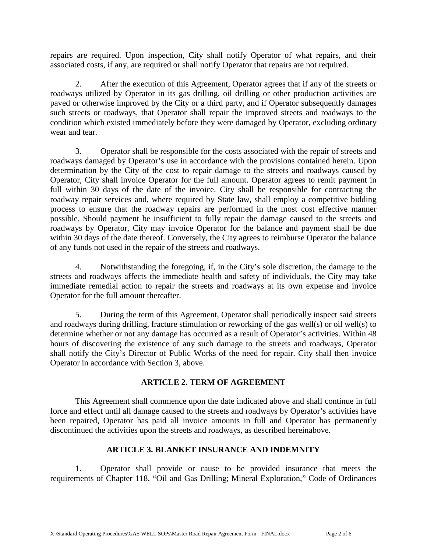repairs are required. Upon inspection, City shall notify Operator of what repairs, and their associated costs, if any, are required or shall notify Operator that repairs are not required.

2. After the execution of this Agreement, Operator agrees that if any of the streets or roadways utilized by Operator in its gas drilling, oil drilling or other production activities are paved or otherwise improved by the City or a third party, and if Operator subsequently damages such streets or roadways, that Operator shall repair the improved streets and roadways to the condition which existed immediately before they were damaged by Operator, excluding ordinary wear and tear.

3. Operator shall be responsible for the costs associated with the repair of streets and roadways damaged by Operator's use in accordance with the provisions contained herein. Upon determination by the City of the cost to repair damage to the streets and roadways caused by Operator, City shall invoice Operator for the full amount. Operator agrees to remit payment in full within 30 days of the date of the invoice. City shall be responsible for contracting the roadway repair services and, where required by State law, shall employ a competitive bidding process to ensure that the roadway repairs are performed in the most cost effective manner possible. Should payment be insufficient to fully repair the damage caused to the streets and roadways by Operator, City may invoice Operator for the balance and payment shall be due within 30 days of the date thereof. Conversely, the City agrees to reimburse Operator the balance of any funds not used in the repair of the streets and roadways.

4. Notwithstanding the foregoing, if, in the City's sole discretion, the damage to the streets and roadways affects the immediate health and safety of individuals, the City may take immediate remedial action to repair the streets and roadways at its own expense and invoice Operator for the full amount thereafter.

5. During the term of this Agreement, Operator shall periodically inspect said streets and roadways during drilling, fracture stimulation or reworking of the gas well(s) or oil well(s) to determine whether or not any damage has occurred as a result of Operator's activities. Within 48 hours of discovering the existence of any such damage to the streets and roadways, Operator shall notify the City's Director of Public Works of the need for repair. City shall then invoice Operator in accordance with Section 3, above.

# **ARTICLE 2. TERM OF AGREEMENT**

This Agreement shall commence upon the date indicated above and shall continue in full force and effect until all damage caused to the streets and roadways by Operator's activities have been repaired, Operator has paid all invoice amounts in full and Operator has permanently discontinued the activities upon the streets and roadways, as described hereinabove.

# **ARTICLE 3. BLANKET INSURANCE AND INDEMNITY**

1. Operator shall provide or cause to be provided insurance that meets the requirements of Chapter 118, "Oil and Gas Drilling; Mineral Exploration," Code of Ordinances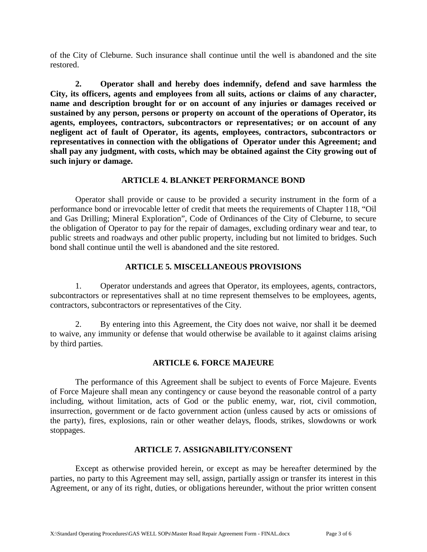of the City of Cleburne. Such insurance shall continue until the well is abandoned and the site restored.

**2. Operator shall and hereby does indemnify, defend and save harmless the City, its officers, agents and employees from all suits, actions or claims of any character, name and description brought for or on account of any injuries or damages received or sustained by any person, persons or property on account of the operations of Operator, its agents, employees, contractors, subcontractors or representatives; or on account of any negligent act of fault of Operator, its agents, employees, contractors, subcontractors or representatives in connection with the obligations of Operator under this Agreement; and shall pay any judgment, with costs, which may be obtained against the City growing out of such injury or damage.** 

# **ARTICLE 4. BLANKET PERFORMANCE BOND**

Operator shall provide or cause to be provided a security instrument in the form of a performance bond or irrevocable letter of credit that meets the requirements of Chapter 118, "Oil and Gas Drilling; Mineral Exploration", Code of Ordinances of the City of Cleburne, to secure the obligation of Operator to pay for the repair of damages, excluding ordinary wear and tear, to public streets and roadways and other public property, including but not limited to bridges. Such bond shall continue until the well is abandoned and the site restored.

# **ARTICLE 5. MISCELLANEOUS PROVISIONS**

1. Operator understands and agrees that Operator, its employees, agents, contractors, subcontractors or representatives shall at no time represent themselves to be employees, agents, contractors, subcontractors or representatives of the City.

2. By entering into this Agreement, the City does not waive, nor shall it be deemed to waive, any immunity or defense that would otherwise be available to it against claims arising by third parties.

# **ARTICLE 6. FORCE MAJEURE**

The performance of this Agreement shall be subject to events of Force Majeure. Events of Force Majeure shall mean any contingency or cause beyond the reasonable control of a party including, without limitation, acts of God or the public enemy, war, riot, civil commotion, insurrection, government or de facto government action (unless caused by acts or omissions of the party), fires, explosions, rain or other weather delays, floods, strikes, slowdowns or work stoppages.

# **ARTICLE 7. ASSIGNABILITY/CONSENT**

Except as otherwise provided herein, or except as may be hereafter determined by the parties, no party to this Agreement may sell, assign, partially assign or transfer its interest in this Agreement, or any of its right, duties, or obligations hereunder, without the prior written consent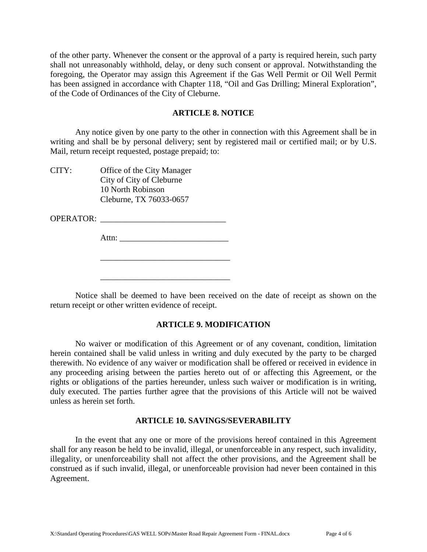of the other party. Whenever the consent or the approval of a party is required herein, such party shall not unreasonably withhold, delay, or deny such consent or approval. Notwithstanding the foregoing, the Operator may assign this Agreement if the Gas Well Permit or Oil Well Permit has been assigned in accordance with Chapter 118, "Oil and Gas Drilling; Mineral Exploration", of the Code of Ordinances of the City of Cleburne.

#### **ARTICLE 8. NOTICE**

Any notice given by one party to the other in connection with this Agreement shall be in writing and shall be by personal delivery; sent by registered mail or certified mail; or by U.S. Mail, return receipt requested, postage prepaid; to:

CITY: Office of the City Manager City of City of Cleburne 10 North Robinson Cleburne, TX 76033-0657

OPERATOR:

Attn: \_\_\_\_\_\_\_\_\_\_\_\_\_\_\_\_\_\_\_\_\_\_\_\_\_\_

\_\_\_\_\_\_\_\_\_\_\_\_\_\_\_\_\_\_\_\_\_\_\_\_\_\_\_\_\_\_\_

\_\_\_\_\_\_\_\_\_\_\_\_\_\_\_\_\_\_\_\_\_\_\_\_\_\_\_\_\_\_\_

Notice shall be deemed to have been received on the date of receipt as shown on the return receipt or other written evidence of receipt.

# **ARTICLE 9. MODIFICATION**

No waiver or modification of this Agreement or of any covenant, condition, limitation herein contained shall be valid unless in writing and duly executed by the party to be charged therewith. No evidence of any waiver or modification shall be offered or received in evidence in any proceeding arising between the parties hereto out of or affecting this Agreement, or the rights or obligations of the parties hereunder, unless such waiver or modification is in writing, duly executed. The parties further agree that the provisions of this Article will not be waived unless as herein set forth.

#### **ARTICLE 10. SAVINGS/SEVERABILITY**

In the event that any one or more of the provisions hereof contained in this Agreement shall for any reason be held to be invalid, illegal, or unenforceable in any respect, such invalidity, illegality, or unenforceability shall not affect the other provisions, and the Agreement shall be construed as if such invalid, illegal, or unenforceable provision had never been contained in this Agreement.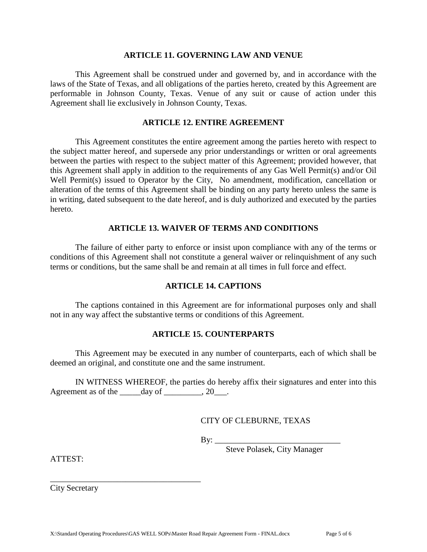#### **ARTICLE 11. GOVERNING LAW AND VENUE**

This Agreement shall be construed under and governed by, and in accordance with the laws of the State of Texas, and all obligations of the parties hereto, created by this Agreement are performable in Johnson County, Texas. Venue of any suit or cause of action under this Agreement shall lie exclusively in Johnson County, Texas.

# **ARTICLE 12. ENTIRE AGREEMENT**

This Agreement constitutes the entire agreement among the parties hereto with respect to the subject matter hereof, and supersede any prior understandings or written or oral agreements between the parties with respect to the subject matter of this Agreement; provided however, that this Agreement shall apply in addition to the requirements of any Gas Well Permit(s) and/or Oil Well Permit(s) issued to Operator by the City, No amendment, modification, cancellation or alteration of the terms of this Agreement shall be binding on any party hereto unless the same is in writing, dated subsequent to the date hereof, and is duly authorized and executed by the parties hereto.

### **ARTICLE 13. WAIVER OF TERMS AND CONDITIONS**

The failure of either party to enforce or insist upon compliance with any of the terms or conditions of this Agreement shall not constitute a general waiver or relinquishment of any such terms or conditions, but the same shall be and remain at all times in full force and effect.

#### **ARTICLE 14. CAPTIONS**

The captions contained in this Agreement are for informational purposes only and shall not in any way affect the substantive terms or conditions of this Agreement.

### **ARTICLE 15. COUNTERPARTS**

This Agreement may be executed in any number of counterparts, each of which shall be deemed an original, and constitute one and the same instrument.

IN WITNESS WHEREOF, the parties do hereby affix their signatures and enter into this Agreement as of the  $\_\_\_\_\$ {day\ of\\_\\_\\_\\_\\_\\_3

CITY OF CLEBURNE, TEXAS

By:  $\_\_$ 

Steve Polasek, City Manager

ATTEST:

City Secretary

\_\_\_\_\_\_\_\_\_\_\_\_\_\_\_\_\_\_\_\_\_\_\_\_\_\_\_\_\_\_\_\_\_\_\_\_